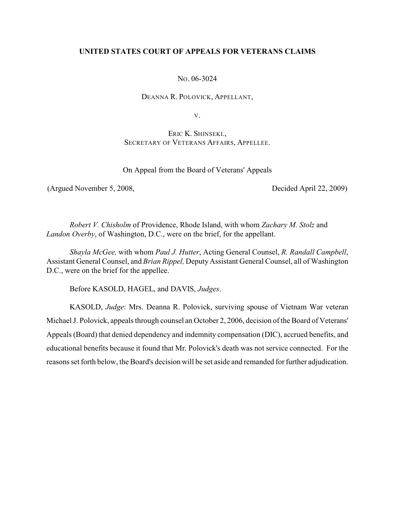# **UNITED STATES COURT OF APPEALS FOR VETERANS CLAIMS**

NO. 06-3024

DEANNA R. POLOVICK, APPELLANT,

V.

ERIC K. SHINSEKI., SECRETARY OF VETERANS AFFAIRS, APPELLEE.

On Appeal from the Board of Veterans' Appeals

(Argued November 5, 2008, Decided April 22, 2009)

*Robert V. Chisholm* of Providence, Rhode Island, with whom *Zachary M. Stolz* and *Landon Overby*, of Washington, D.C., were on the brief, for the appellant.

*Shayla McGee,* with whom *Paul J. Hutter*, Acting General Counsel, *R. Randall Campbell*, Assistant General Counsel, and *Brian Rippel,* Deputy Assistant General Counsel, all of Washington D.C., were on the brief for the appellee.

Before KASOLD, HAGEL, and DAVIS, *Judges*.

KASOLD, *Judge*: Mrs. Deanna R. Polovick, surviving spouse of Vietnam War veteran Michael J. Polovick, appeals through counsel an October 2, 2006, decision of the Board of Veterans' Appeals (Board) that denied dependency and indemnity compensation (DIC), accrued benefits, and educational benefits because it found that Mr. Polovick's death was not service connected. For the reasons set forth below, the Board's decision will be set aside and remanded for further adjudication.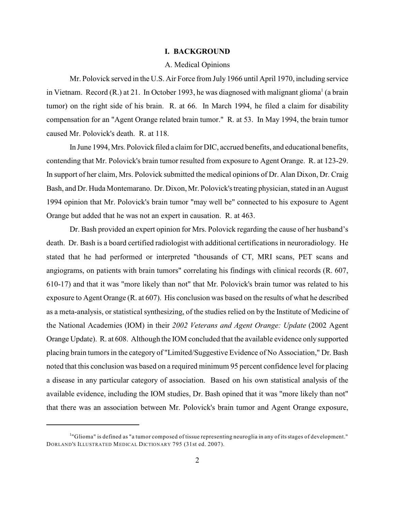# **I. BACKGROUND**

#### A. Medical Opinions

Mr. Polovick served in the U.S. Air Force from July 1966 until April 1970, including service in Vietnam. Record  $(R)$  at 21. In October 1993, he was diagnosed with malignant glioma<sup>1</sup> (a brain tumor) on the right side of his brain. R. at 66. In March 1994, he filed a claim for disability compensation for an "Agent Orange related brain tumor." R. at 53. In May 1994, the brain tumor caused Mr. Polovick's death. R. at 118.

In June 1994, Mrs. Polovick filed a claim for DIC, accrued benefits, and educational benefits, contending that Mr. Polovick's brain tumor resulted from exposure to Agent Orange. R. at 123-29. In support of her claim, Mrs. Polovick submitted the medical opinions of Dr. Alan Dixon, Dr. Craig Bash, and Dr. Huda Montemarano. Dr. Dixon, Mr. Polovick's treating physician, stated in an August 1994 opinion that Mr. Polovick's brain tumor "may well be" connected to his exposure to Agent Orange but added that he was not an expert in causation. R. at 463.

Dr. Bash provided an expert opinion for Mrs. Polovick regarding the cause of her husband's death. Dr. Bash is a board certified radiologist with additional certifications in neuroradiology. He stated that he had performed or interpreted "thousands of CT, MRI scans, PET scans and angiograms, on patients with brain tumors" correlating his findings with clinical records (R. 607, 610-17) and that it was "more likely than not" that Mr. Polovick's brain tumor was related to his exposure to Agent Orange (R. at 607). His conclusion was based on the results of what he described as a meta-analysis, or statistical synthesizing, of the studies relied on by the Institute of Medicine of the National Academies (IOM) in their *2002 Veterans and Agent Orange: Update* (2002 Agent Orange Update). R. at 608. Although the IOM concluded that the available evidence only supported placing brain tumors in the category of "Limited/Suggestive Evidence of No Association," Dr. Bash noted that this conclusion was based on a required minimum 95 percent confidence level for placing a disease in any particular category of association. Based on his own statistical analysis of the available evidence, including the IOM studies, Dr. Bash opined that it was "more likely than not" that there was an association between Mr. Polovick's brain tumor and Agent Orange exposure,

<sup>&</sup>quot;Glioma" is defined as "a tumor composed of tissue representing neuroglia in any of its stages of development." <sup>1</sup> DORLAND'S ILLUSTRATED MEDICAL DICTIONARY 795 (31st ed. 2007).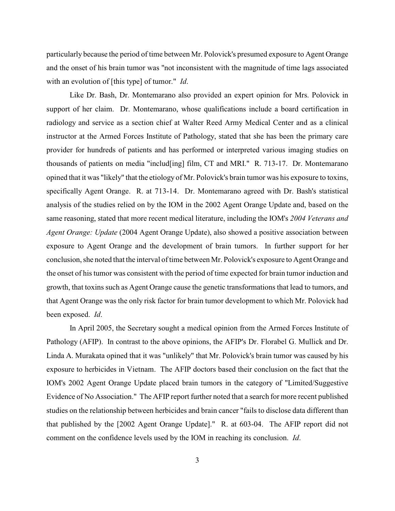particularly because the period of time between Mr. Polovick's presumed exposure to Agent Orange and the onset of his brain tumor was "not inconsistent with the magnitude of time lags associated with an evolution of [this type] of tumor." *Id*.

Like Dr. Bash, Dr. Montemarano also provided an expert opinion for Mrs. Polovick in support of her claim. Dr. Montemarano, whose qualifications include a board certification in radiology and service as a section chief at Walter Reed Army Medical Center and as a clinical instructor at the Armed Forces Institute of Pathology, stated that she has been the primary care provider for hundreds of patients and has performed or interpreted various imaging studies on thousands of patients on media "includ[ing] film, CT and MRI." R. 713-17. Dr. Montemarano opined that it was "likely" that the etiology of Mr. Polovick's brain tumor was his exposure to toxins, specifically Agent Orange. R. at 713-14. Dr. Montemarano agreed with Dr. Bash's statistical analysis of the studies relied on by the IOM in the 2002 Agent Orange Update and, based on the same reasoning, stated that more recent medical literature, including the IOM's *2004 Veterans and Agent Orange: Update* (2004 Agent Orange Update), also showed a positive association between exposure to Agent Orange and the development of brain tumors. In further support for her conclusion, she noted that the interval of time between Mr. Polovick's exposure to Agent Orange and the onset of his tumor was consistent with the period of time expected for brain tumor induction and growth, that toxins such as Agent Orange cause the genetic transformations that lead to tumors, and that Agent Orange was the only risk factor for brain tumor development to which Mr. Polovick had been exposed. *Id*.

In April 2005, the Secretary sought a medical opinion from the Armed Forces Institute of Pathology (AFIP). In contrast to the above opinions, the AFIP's Dr. Florabel G. Mullick and Dr. Linda A. Murakata opined that it was "unlikely" that Mr. Polovick's brain tumor was caused by his exposure to herbicides in Vietnam. The AFIP doctors based their conclusion on the fact that the IOM's 2002 Agent Orange Update placed brain tumors in the category of "Limited/Suggestive Evidence of No Association." The AFIP report further noted that a search for more recent published studies on the relationship between herbicides and brain cancer "fails to disclose data different than that published by the [2002 Agent Orange Update]." R. at 603-04. The AFIP report did not comment on the confidence levels used by the IOM in reaching its conclusion. *Id*.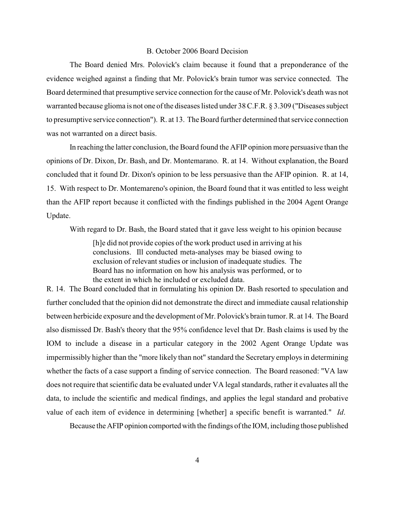### B. October 2006 Board Decision

The Board denied Mrs. Polovick's claim because it found that a preponderance of the evidence weighed against a finding that Mr. Polovick's brain tumor was service connected. The Board determined that presumptive service connection for the cause of Mr. Polovick's death was not warranted because glioma is not one of the diseases listed under 38 C.F.R. § 3.309 ("Diseases subject to presumptive service connection"). R. at 13. The Board further determined that service connection was not warranted on a direct basis.

In reaching the latter conclusion, the Board found the AFIP opinion more persuasive than the opinions of Dr. Dixon, Dr. Bash, and Dr. Montemarano. R. at 14. Without explanation, the Board concluded that it found Dr. Dixon's opinion to be less persuasive than the AFIP opinion. R. at 14, 15. With respect to Dr. Montemareno's opinion, the Board found that it was entitled to less weight than the AFIP report because it conflicted with the findings published in the 2004 Agent Orange Update.

With regard to Dr. Bash, the Board stated that it gave less weight to his opinion because

[h]e did not provide copies of the work product used in arriving at his conclusions. Ill conducted meta-analyses may be biased owing to exclusion of relevant studies or inclusion of inadequate studies. The Board has no information on how his analysis was performed, or to the extent in which he included or excluded data.

R. 14. The Board concluded that in formulating his opinion Dr. Bash resorted to speculation and further concluded that the opinion did not demonstrate the direct and immediate causal relationship between herbicide exposure and the development of Mr. Polovick's brain tumor. R. at 14. The Board also dismissed Dr. Bash's theory that the 95% confidence level that Dr. Bash claims is used by the IOM to include a disease in a particular category in the 2002 Agent Orange Update was impermissibly higher than the "more likely than not" standard the Secretary employs in determining whether the facts of a case support a finding of service connection. The Board reasoned: "VA law does not require that scientific data be evaluated under VA legal standards, rather it evaluates all the data, to include the scientific and medical findings, and applies the legal standard and probative value of each item of evidence in determining [whether] a specific benefit is warranted." *Id*.

Because the AFIP opinion comported with the findings of the IOM, including those published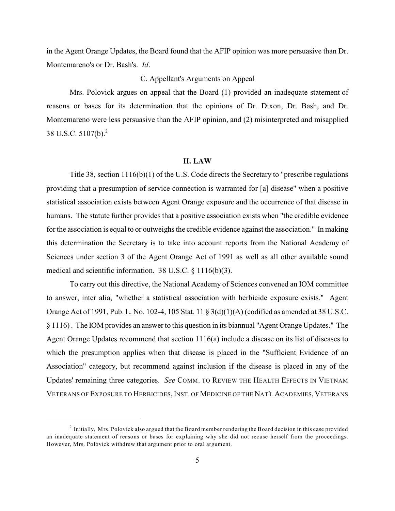in the Agent Orange Updates, the Board found that the AFIP opinion was more persuasive than Dr. Montemareno's or Dr. Bash's. *Id*.

## C. Appellant's Arguments on Appeal

Mrs. Polovick argues on appeal that the Board (1) provided an inadequate statement of reasons or bases for its determination that the opinions of Dr. Dixon, Dr. Bash, and Dr. Montemareno were less persuasive than the AFIP opinion, and (2) misinterpreted and misapplied 38 U.S.C. 5107(b).<sup>2</sup>

### **II. LAW**

Title 38, section 1116(b)(1) of the U.S. Code directs the Secretary to "prescribe regulations providing that a presumption of service connection is warranted for [a] disease" when a positive statistical association exists between Agent Orange exposure and the occurrence of that disease in humans. The statute further provides that a positive association exists when "the credible evidence for the association is equal to or outweighs the credible evidence against the association." In making this determination the Secretary is to take into account reports from the National Academy of Sciences under section 3 of the Agent Orange Act of 1991 as well as all other available sound medical and scientific information. 38 U.S.C. § 1116(b)(3).

To carry out this directive, the National Academy of Sciences convened an IOM committee to answer, inter alia, "whether a statistical association with herbicide exposure exists." Agent Orange Act of 1991, Pub. L. No. 102-4, 105 Stat. 11 § 3(d)(1)(A) (codified as amended at 38 U.S.C. § 1116) . The IOM provides an answer to this question in its biannual "Agent Orange Updates." The Agent Orange Updates recommend that section 1116(a) include a disease on its list of diseases to which the presumption applies when that disease is placed in the "Sufficient Evidence of an Association" category, but recommend against inclusion if the disease is placed in any of the Updates' remaining three categories. *See* COMM. TO REVIEW THE HEALTH EFFECTS IN VIETNAM VETERANS OF EXPOSURE TO HERBICIDES, INST. OF MEDICINE OF THE NAT'L ACADEMIES, VETERANS

 $<sup>2</sup>$  Initially, Mrs. Polovick also argued that the Board member rendering the Board decision in this case provided</sup> an inadequate statement of reasons or bases for explaining why she did not recuse herself from the proceedings. However, Mrs. Polovick withdrew that argument prior to oral argument.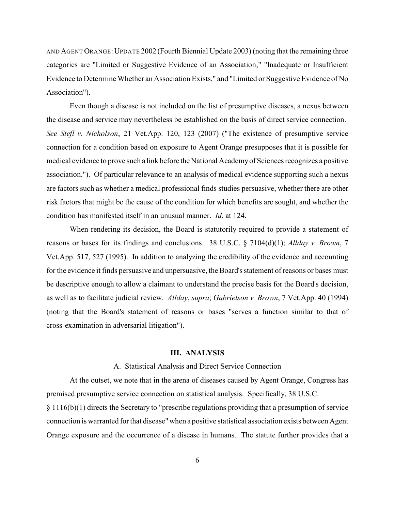AND AGENT ORANGE:UPDATE 2002 (Fourth Biennial Update 2003) (noting that the remaining three categories are "Limited or Suggestive Evidence of an Association," "Inadequate or Insufficient Evidence to Determine Whether an Association Exists," and "Limited or Suggestive Evidence of No Association").

Even though a disease is not included on the list of presumptive diseases, a nexus between the disease and service may nevertheless be established on the basis of direct service connection. *See Stefl v. Nicholson*, 21 Vet.App. 120, 123 (2007) ("The existence of presumptive service connection for a condition based on exposure to Agent Orange presupposes that it is possible for medical evidence to prove such a link before the National Academy of Sciences recognizes a positive association."). Of particular relevance to an analysis of medical evidence supporting such a nexus are factors such as whether a medical professional finds studies persuasive, whether there are other risk factors that might be the cause of the condition for which benefits are sought, and whether the condition has manifested itself in an unusual manner. *Id*. at 124.

When rendering its decision, the Board is statutorily required to provide a statement of reasons or bases for its findings and conclusions. 38 U.S.C. § 7104(d)(1); *Allday v. Brown*, 7 Vet.App. 517, 527 (1995). In addition to analyzing the credibility of the evidence and accounting for the evidence it finds persuasive and unpersuasive, the Board's statement of reasons or bases must be descriptive enough to allow a claimant to understand the precise basis for the Board's decision, as well as to facilitate judicial review. *Allday*, *supra*; *Gabrielson v. Brown*, 7 Vet.App. 40 (1994) (noting that the Board's statement of reasons or bases "serves a function similar to that of cross-examination in adversarial litigation").

### **III. ANALYSIS**

### A. Statistical Analysis and Direct Service Connection

At the outset, we note that in the arena of diseases caused by Agent Orange, Congress has premised presumptive service connection on statistical analysis. Specifically, 38 U.S.C. § 1116(b)(1) directs the Secretary to "prescribe regulations providing that a presumption of service connection is warranted for that disease"when a positive statistical association exists between Agent Orange exposure and the occurrence of a disease in humans. The statute further provides that a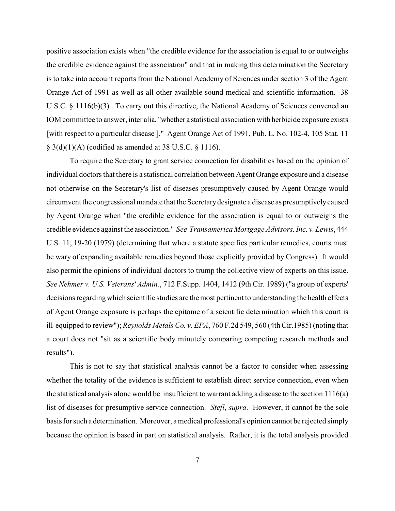positive association exists when "the credible evidence for the association is equal to or outweighs the credible evidence against the association" and that in making this determination the Secretary is to take into account reports from the National Academy of Sciences under section 3 of the Agent Orange Act of 1991 as well as all other available sound medical and scientific information. 38 U.S.C. § 1116(b)(3). To carry out this directive, the National Academy of Sciences convened an IOM committee to answer, inter alia, "whether a statistical association with herbicide exposure exists [with respect to a particular disease ]." Agent Orange Act of 1991, Pub. L. No. 102-4, 105 Stat. 11  $\S$  3(d)(1)(A) (codified as amended at 38 U.S.C.  $\S$  1116).

To require the Secretary to grant service connection for disabilities based on the opinion of individual doctors that there is a statistical correlation between Agent Orange exposure and a disease not otherwise on the Secretary's list of diseases presumptively caused by Agent Orange would circumvent the congressional mandate that the Secretary designate a disease as presumptively caused by Agent Orange when "the credible evidence for the association is equal to or outweighs the credible evidence against the association." *See Transamerica Mortgage Advisors, Inc. v. Lewis*, 444 U.S. 11, 19-20 (1979) (determining that where a statute specifies particular remedies, courts must be wary of expanding available remedies beyond those explicitly provided by Congress). It would also permit the opinions of individual doctors to trump the collective view of experts on this issue. *See Nehmer v. U.S. Veterans' Admin.*, 712 F.Supp. 1404, 1412 (9th Cir. 1989) ("a group of experts' decisions regarding which scientific studies are the most pertinent to understanding the health effects of Agent Orange exposure is perhaps the epitome of a scientific determination which this court is ill-equipped to review"); *Reynolds Metals Co. v. EPA*, 760 F.2d 549, 560 (4th Cir.1985) (noting that a court does not "sit as a scientific body minutely comparing competing research methods and results").

This is not to say that statistical analysis cannot be a factor to consider when assessing whether the totality of the evidence is sufficient to establish direct service connection, even when the statistical analysis alone would be insufficient to warrant adding a disease to the section 1116(a) list of diseases for presumptive service connection. *Stefl*, *supra*. However, it cannot be the sole basis for such a determination. Moreover, a medical professional's opinion cannot be rejected simply because the opinion is based in part on statistical analysis. Rather, it is the total analysis provided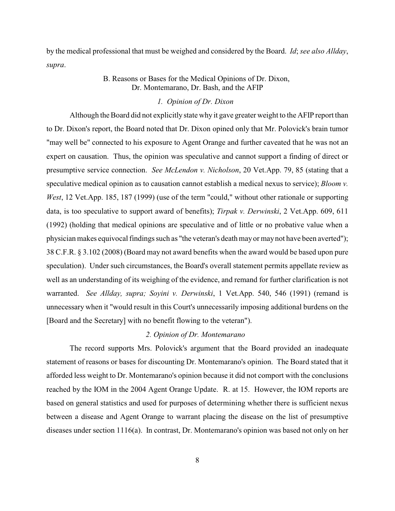by the medical professional that must be weighed and considered by the Board. *Id*; *see also Allday*, *supra*.

# B. Reasons or Bases for the Medical Opinions of Dr. Dixon, Dr. Montemarano, Dr. Bash, and the AFIP

# *1. Opinion of Dr. Dixon*

Although the Board did not explicitly state why it gave greater weight to the AFIP report than to Dr. Dixon's report, the Board noted that Dr. Dixon opined only that Mr. Polovick's brain tumor "may well be" connected to his exposure to Agent Orange and further caveated that he was not an expert on causation. Thus, the opinion was speculative and cannot support a finding of direct or presumptive service connection. *See McLendon v. Nicholson*, 20 Vet.App. 79, 85 (stating that a speculative medical opinion as to causation cannot establish a medical nexus to service); *Bloom v. West*, 12 Vet.App. 185, 187 (1999) (use of the term "could," without other rationale or supporting data, is too speculative to support award of benefits); *Tirpak v. Derwinski*, 2 Vet.App. 609, 611 (1992) (holding that medical opinions are speculative and of little or no probative value when a physician makes equivocal findings such as "the veteran's death mayor may not have been averted"); 38 C.F.R. § 3.102 (2008) (Board may not award benefits when the award would be based upon pure speculation). Under such circumstances, the Board's overall statement permits appellate review as well as an understanding of its weighing of the evidence, and remand for further clarification is not warranted. *See Allday, supra; Soyini v. Derwinski*, 1 Vet.App. 540, 546 (1991) (remand is unnecessary when it "would result in this Court's unnecessarily imposing additional burdens on the [Board and the Secretary] with no benefit flowing to the veteran").

### *2. Opinion of Dr. Montemarano*

The record supports Mrs. Polovick's argument that the Board provided an inadequate statement of reasons or bases for discounting Dr. Montemarano's opinion. The Board stated that it afforded less weight to Dr. Montemarano's opinion because it did not comport with the conclusions reached by the IOM in the 2004 Agent Orange Update. R. at 15. However, the IOM reports are based on general statistics and used for purposes of determining whether there is sufficient nexus between a disease and Agent Orange to warrant placing the disease on the list of presumptive diseases under section 1116(a). In contrast, Dr. Montemarano's opinion was based not only on her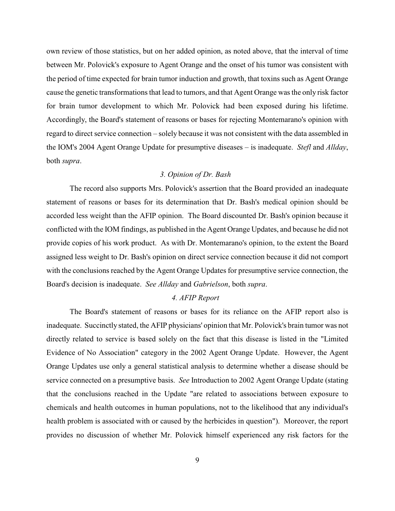own review of those statistics, but on her added opinion, as noted above, that the interval of time between Mr. Polovick's exposure to Agent Orange and the onset of his tumor was consistent with the period of time expected for brain tumor induction and growth, that toxins such as Agent Orange cause the genetic transformations that lead to tumors, and that Agent Orange was the only risk factor for brain tumor development to which Mr. Polovick had been exposed during his lifetime. Accordingly, the Board's statement of reasons or bases for rejecting Montemarano's opinion with regard to direct service connection – solely because it was not consistent with the data assembled in the IOM's 2004 Agent Orange Update for presumptive diseases – is inadequate. *Stefl* and *Allday*, both *supra*.

## *3. Opinion of Dr. Bash*

The record also supports Mrs. Polovick's assertion that the Board provided an inadequate statement of reasons or bases for its determination that Dr. Bash's medical opinion should be accorded less weight than the AFIP opinion. The Board discounted Dr. Bash's opinion because it conflicted with the IOM findings, as published in the Agent Orange Updates, and because he did not provide copies of his work product. As with Dr. Montemarano's opinion, to the extent the Board assigned less weight to Dr. Bash's opinion on direct service connection because it did not comport with the conclusions reached by the Agent Orange Updates for presumptive service connection, the Board's decision is inadequate. *See Allday* and *Gabrielson*, both *supra*.

## *4. AFIP Report*

The Board's statement of reasons or bases for its reliance on the AFIP report also is inadequate. Succinctly stated, the AFIP physicians' opinion that Mr. Polovick's brain tumor was not directly related to service is based solely on the fact that this disease is listed in the "Limited Evidence of No Association" category in the 2002 Agent Orange Update. However, the Agent Orange Updates use only a general statistical analysis to determine whether a disease should be service connected on a presumptive basis. *See* Introduction to 2002 Agent Orange Update (stating that the conclusions reached in the Update "are related to associations between exposure to chemicals and health outcomes in human populations, not to the likelihood that any individual's health problem is associated with or caused by the herbicides in question"). Moreover, the report provides no discussion of whether Mr. Polovick himself experienced any risk factors for the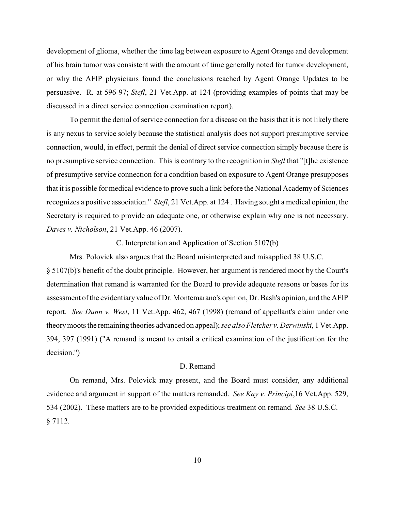development of glioma, whether the time lag between exposure to Agent Orange and development of his brain tumor was consistent with the amount of time generally noted for tumor development, or why the AFIP physicians found the conclusions reached by Agent Orange Updates to be persuasive. R. at 596-97; *Stefl*[, 21 V](http://web2.westlaw.com/find/default.wl?tf=-1&rs=WLW8.01&fn=_top&sv=Split&tc=-1&findtype=L&docname=38USCAS7112&db=1000546&vr=2.0&rp=%2ffind%2fdefault.wl&mt=FederalGovernment)et.App. at 124 (providing examples of points that may be discussed in a direct service connection examination report).

To permit the denial of service connection for a disease on the basis that it is not likely there is any nexus to service solely because the statistical analysis does not support presumptive service connection, would, in effect, permit the denial of direct service connection simply because there is no presumptive service connection. This is contrary to the recognition in *Stefl* that "[t]he existence of presumptive service connection for a condition based on exposure to Agent Orange presupposes that it is possible for medical evidence to prove such a link before the National Academy of Sciences recognizes a positive association." *Stefl*, 21 Vet.App. at 124 . Having sought a medical opinion, the Secretary is required to provide an adequate one, or otherwise explain why one is not necessary. *Daves v. Nicholson*, 21 Vet.App. 46 (2007).

C. Interpretation and Application of Section 5107(b)

Mrs. Polovick also argues that the Board misinterpreted and misapplied 38 U.S.C. § 5107(b)'s benefit of the doubt principle. However, her argument is rendered moot by the Court's determination that remand is warranted for the Board to provide adequate reasons or bases for its assessment ofthe evidentiary value of Dr. Montemarano's opinion, Dr. Bash's opinion, and the AFIP report. *See Dunn v. West*, 11 Vet.App. 462, 467 (1998) (remand of appellant's claim under one theory moots the remaining theories advanced on appeal); *see also Fletcher v. Derwinski*, 1 Vet.App. 394, 397 (1991) ("A remand is meant to entail a critical examination of the justification for the decision.")

#### D. Remand

On remand, Mrs. Polovick may present, and the Board must consider, any additional evidence and argument in support of the matters remanded. *See Kay v. Principi*[,16 Vet.App. 529,](http://web2.westlaw.com/find/default.wl?tf=-1&rs=WLW8.01&referencepositiontype=S&serialnum=2002788960&fn=_top&sv=Split&tc=-1&findtype=Y&referenceposition=534&db=463&vr=2.0&rp=%2ffind%2fdefault.wl&mt=FederalGovernment) [534 \(2002\)](http://web2.westlaw.com/find/default.wl?tf=-1&rs=WLW8.01&referencepositiontype=S&serialnum=2002788960&fn=_top&sv=Split&tc=-1&findtype=Y&referenceposition=534&db=463&vr=2.0&rp=%2ffind%2fdefault.wl&mt=FederalGovernment). These matters are to be provided expeditious treatment on remand. *See* [38 U.S.C.](http://web2.westlaw.com/find/default.wl?tf=-1&rs=WLW8.01&fn=_top&sv=Split&tc=-1&findtype=L&docname=38USCAS7112&db=1000546&vr=2.0&rp=%2ffind%2fdefault.wl&mt=FederalGovernment)  [§ 7112](http://web2.westlaw.com/find/default.wl?tf=-1&rs=WLW8.01&fn=_top&sv=Split&tc=-1&findtype=L&docname=38USCAS7112&db=1000546&vr=2.0&rp=%2ffind%2fdefault.wl&mt=FederalGovernment).